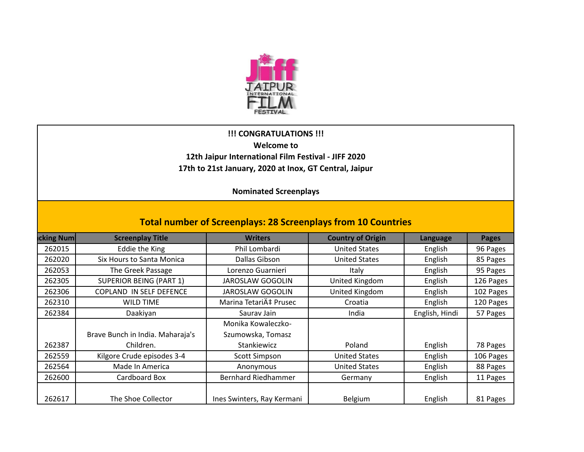

## **!!! CONGRATULATIONS !!! Welcome to 12th Jaipur International Film Festival - JIFF 2020 17th to 21st January, 2020 at Inox, GT Central, Jaipur**

**Nominated Screenplays** 

| <b>Total number of Screenplays: 28 Screenplays from 10 Countries</b> |                                  |                            |                          |                 |              |  |  |  |
|----------------------------------------------------------------------|----------------------------------|----------------------------|--------------------------|-----------------|--------------|--|--|--|
| cking Num                                                            | <b>Screenplay Title</b>          | <b>Writers</b>             | <b>Country of Origin</b> | <b>Language</b> | <b>Pages</b> |  |  |  |
| 262015                                                               | Eddie the King                   | Phil Lombardi              | <b>United States</b>     | English         | 96 Pages     |  |  |  |
| 262020                                                               | Six Hours to Santa Monica        | Dallas Gibson              | <b>United States</b>     | English         | 85 Pages     |  |  |  |
| 262053                                                               | The Greek Passage                | Lorenzo Guarnieri          | Italy                    | English         | 95 Pages     |  |  |  |
| 262305                                                               | <b>SUPERIOR BEING (PART 1)</b>   | <b>JAROSLAW GOGOLIN</b>    | United Kingdom           | English         | 126 Pages    |  |  |  |
| 262306                                                               | <b>COPLAND IN SELF DEFENCE</b>   | <b>JAROSLAW GOGOLIN</b>    | United Kingdom           | English         | 102 Pages    |  |  |  |
| 262310                                                               | <b>WILD TIME</b>                 | Marina Tetarić Prusec      | Croatia                  | English         | 120 Pages    |  |  |  |
| 262384                                                               | Daakiyan                         | Sauray Jain                | India                    | English, Hindi  | 57 Pages     |  |  |  |
|                                                                      |                                  | Monika Kowaleczko-         |                          |                 |              |  |  |  |
|                                                                      | Brave Bunch in India. Maharaja's | Szumowska, Tomasz          |                          |                 |              |  |  |  |
| 262387                                                               | Children.                        | Stankiewicz                | Poland                   | English         | 78 Pages     |  |  |  |
| 262559                                                               | Kilgore Crude episodes 3-4       | Scott Simpson              | <b>United States</b>     | English         | 106 Pages    |  |  |  |
| 262564                                                               | Made In America                  | Anonymous                  | <b>United States</b>     | English         | 88 Pages     |  |  |  |
| 262600                                                               | Cardboard Box                    | <b>Bernhard Riedhammer</b> | Germany                  | English         | 11 Pages     |  |  |  |
| 262617                                                               | The Shoe Collector               | Ines Swinters, Ray Kermani | Belgium                  | English         | 81 Pages     |  |  |  |